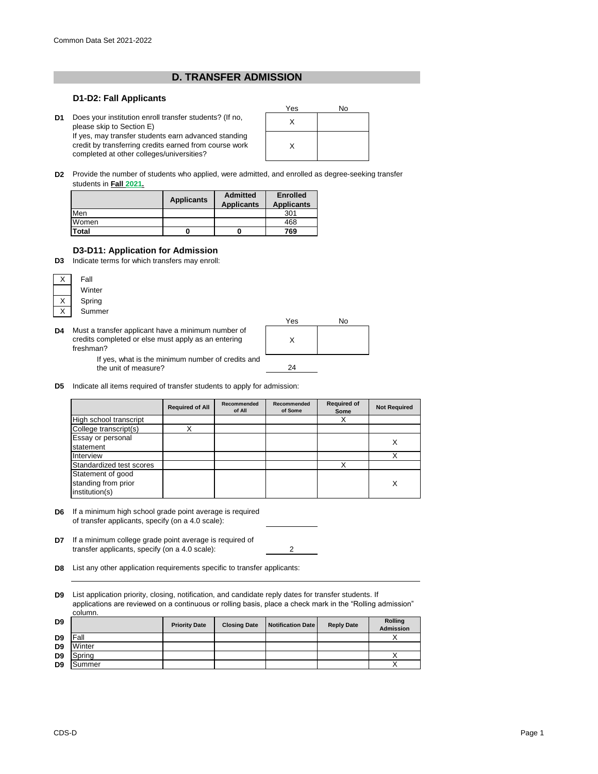## **D. TRANSFER ADMISSION**

## **D1-D2: Fall Applicants**

**D1** Does your institution enroll transfer students? (If no,<br>
places olin to Section F) please skip to Section E) If yes, may transfer students earn advanced standing credit by transferring credits earned from course work completed at other colleges/universities?



**D2** Provide the number of students who applied, were admitted, and enrolled as degree-seeking transfer students in **Fall 2021.**

|       | <b>Applicants</b> | <b>Admitted</b><br><b>Applicants</b> | <b>Enrolled</b><br><b>Applicants</b> |
|-------|-------------------|--------------------------------------|--------------------------------------|
| Men   |                   |                                      | 301                                  |
| Women |                   |                                      | 468                                  |
| Total | U                 |                                      | 769                                  |

## **D3-D11: Application for Admission**

**D3** Indicate terms for which transfers may enroll:



**D4** Must a transfer applicant have a minimum number of credits completed or else must apply as an entering freshman?

the unit of measure?



2

**D5** Indicate all items required of transfer students to apply for admission:

|                                                            | <b>Required of All</b> | Recommended<br>of All | Recommended<br>of Some | <b>Required of</b><br>Some | <b>Not Required</b> |
|------------------------------------------------------------|------------------------|-----------------------|------------------------|----------------------------|---------------------|
| High school transcript                                     |                        |                       |                        | Χ                          |                     |
| College transcript(s)                                      |                        |                       |                        |                            |                     |
| <b>Essay or personal</b><br>statement                      |                        |                       |                        |                            | х                   |
| Interview                                                  |                        |                       |                        |                            |                     |
| Standardized test scores                                   |                        |                       |                        | X                          |                     |
| Statement of good<br>standing from prior<br>institution(s) |                        |                       |                        |                            | X                   |

- **D6** If a minimum high school grade point average is required of transfer applicants, specify (on a 4.0 scale):
- **D7** If a minimum college grade point average is required of transfer applicants, specify (on a 4.0 scale):
- **D8** List any other application requirements specific to transfer applicants:

**D9** List application priority, closing, notification, and candidate reply dates for transfer students. If applications are reviewed on a continuous or rolling basis, place a check mark in the "Rolling admission"

| D9             |        | <b>Priority Date</b> | <b>Closing Date</b> | Notification Date | <b>Reply Date</b> | <b>Rolling</b><br><b>Admission</b> |
|----------------|--------|----------------------|---------------------|-------------------|-------------------|------------------------------------|
| D <sub>9</sub> | Fall   |                      |                     |                   |                   |                                    |
| D <sub>9</sub> | Winter |                      |                     |                   |                   |                                    |
| D <sub>9</sub> | Spring |                      |                     |                   |                   |                                    |
| D <sub>9</sub> | Summer |                      |                     |                   |                   |                                    |

column.